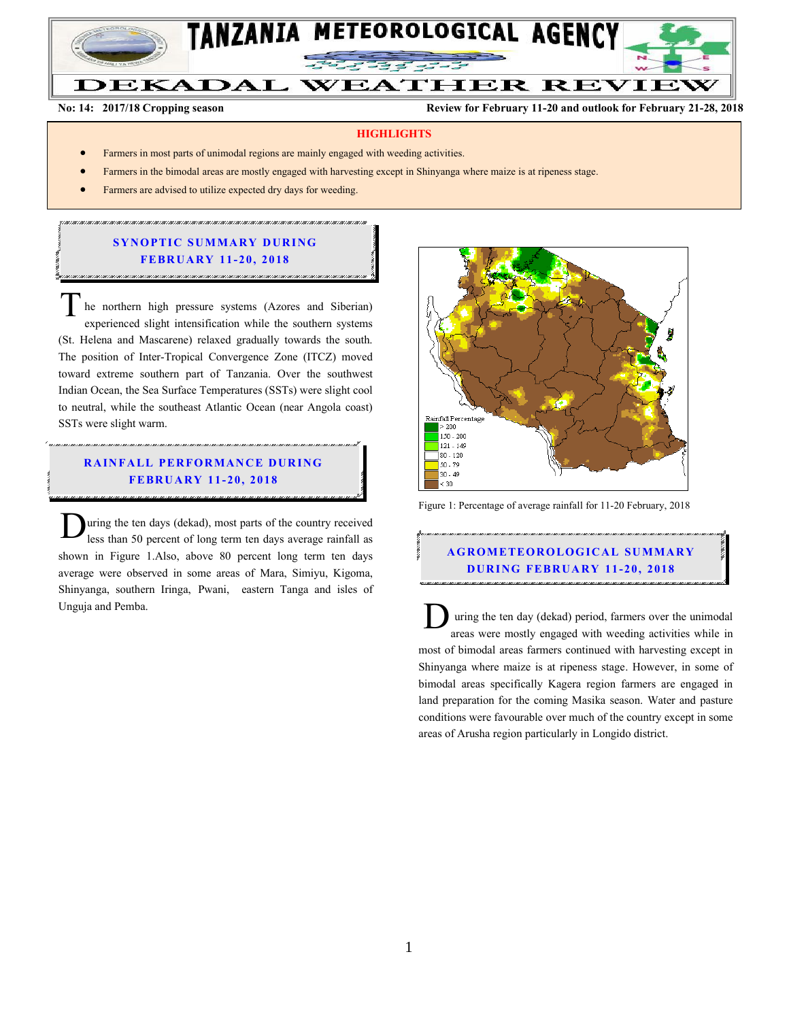

#### **DEKADAL WEATHER REVIEW**

**No: 14: 2017/18 Cropping season Review for February 11-20 and outlook for February 21-28, 2018**

#### **HIGHLIGHTS**

- Farmers in most parts of unimodal regions are mainly engaged with weeding activities.
- Farmers in the bimodal areas are mostly engaged with harvesting except in Shinyanga where maize is at ripeness stage.
- Farmers are advised to utilize expected dry days for weeding.

## **SYNOPTIC SUMMARY DURING FEBR U A RY 11- 20 , 2018**

he northern high pressure systems (Azores and Siberian) experienced slight intensification while the southern systems (St. Helena and Mascarene) relaxed gradually towards the south. The position of Inter-Tropical Convergence Zone (ITCZ) moved toward extreme southern part of Tanzania. Over the southwest Indian Ocean, the Sea Surface Temperatures (SSTs) were slight cool to neutral, while the southeast Atlantic Ocean (near Angola coast) SSTs were slight warm. T

## **RAINFALL PERFORMANCE DURING FEBR U A RY 11- 20, 201 8**

uring the ten days (dekad), most parts of the country received less than 50 percent of long term ten days average rainfall as shown in Figure 1.Also, above 80 percent long term ten days average were observed in some areas of Mara, Simiyu, Kigoma, Shinyanga, southern Iringa, Pwani, eastern Tanga and isles of Unguja and Pemba. D



Figure 1: Percentage of average rainfall for 11-20 February, 2018

# **A G RO METEO R O LOG ICA L SU MMA RY D UR ING FEBR UA RY 11-20, 2018**

uring the ten day (dekad) period, farmers over the unimodal areas were mostly engaged with weeding activities while in most of bimodal areas farmers continued with harvesting except in Shinyanga where maize is at ripeness stage. However, in some of bimodal areas specifically Kagera region farmers are engaged in land preparation for the coming Masika season. Water and pasture conditions were favourable over much of the country except in some areas of Arusha region particularly in Longido district. D